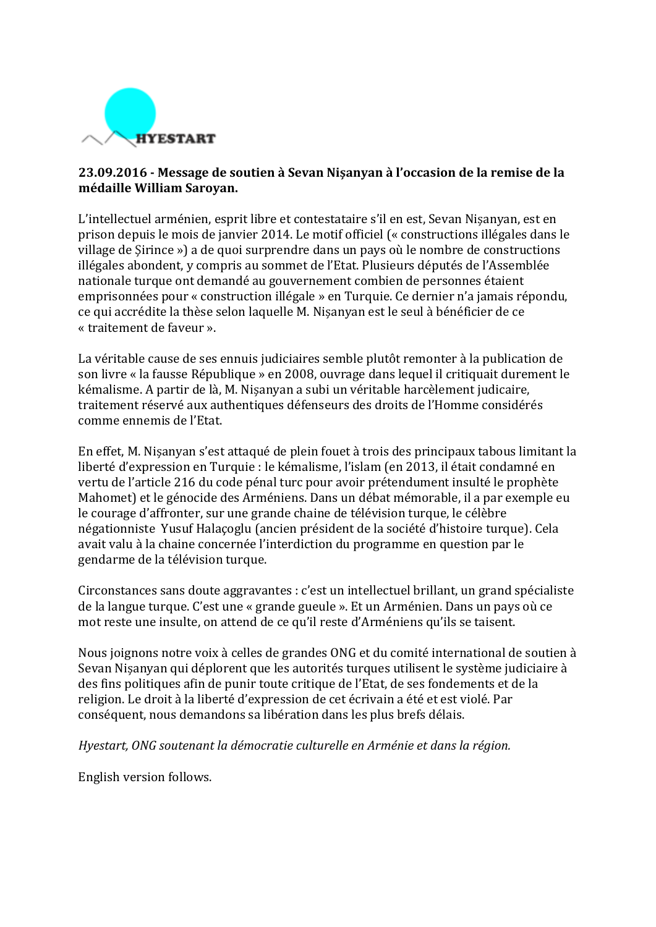

## **23.09.2016 - Message de soutien à Sevan Nişanyan à l'occasion de la remise de la médaille William Saroyan.**

L'intellectuel arménien, esprit libre et contestataire s'il en est, Sevan Nisanyan, est en prison depuis le mois de janvier 2014. Le motif officiel (« constructions illégales dans le village de Sirince ») a de quoi surprendre dans un pays où le nombre de constructions illégales abondent, y compris au sommet de l'Etat. Plusieurs députés de l'Assemblée nationale turque ont demandé au gouvernement combien de personnes étaient emprisonnées pour « construction illégale » en Turquie. Ce dernier n'a jamais répondu, ce qui accrédite la thèse selon laquelle M. Nisanyan est le seul à bénéficier de ce « traitement de faveur ».

La véritable cause de ses ennuis judiciaires semble plutôt remonter à la publication de son livre « la fausse République » en 2008, ouvrage dans lequel il critiquait durement le kémalisme. A partir de là, M. Nisanyan a subi un véritable harcèlement judicaire, traitement réservé aux authentiques défenseurs des droits de l'Homme considérés comme ennemis de l'Etat.

En effet, M. Nişanyan s'est attaqué de plein fouet à trois des principaux tabous limitant la liberté d'expression en Turquie : le kémalisme, l'islam (en 2013, il était condamné en vertu de l'article 216 du code pénal turc pour avoir prétendument insulté le prophète Mahomet) et le génocide des Arméniens. Dans un débat mémorable, il a par exemple eu le courage d'affronter, sur une grande chaine de télévision turque, le célèbre négationniste Yusuf Halaçoglu (ancien président de la société d'histoire turque). Cela avait valu à la chaine concernée l'interdiction du programme en question par le gendarme de la télévision turque.

Circonstances sans doute aggravantes : c'est un intellectuel brillant, un grand spécialiste de la langue turque. C'est une « grande gueule ». Et un Arménien. Dans un pays où ce mot reste une insulte, on attend de ce qu'il reste d'Arméniens qu'ils se taisent.

Nous joignons notre voix à celles de grandes ONG et du comité international de soutien à Sevan Nisanyan qui déplorent que les autorités turques utilisent le système judiciaire à des fins politiques afin de punir toute critique de l'Etat, de ses fondements et de la religion. Le droit à la liberté d'expression de cet écrivain a été et est violé. Par conséquent, nous demandons sa libération dans les plus brefs délais.

Hyestart, ONG soutenant la démocratie culturelle en Arménie et dans la région.

English version follows.